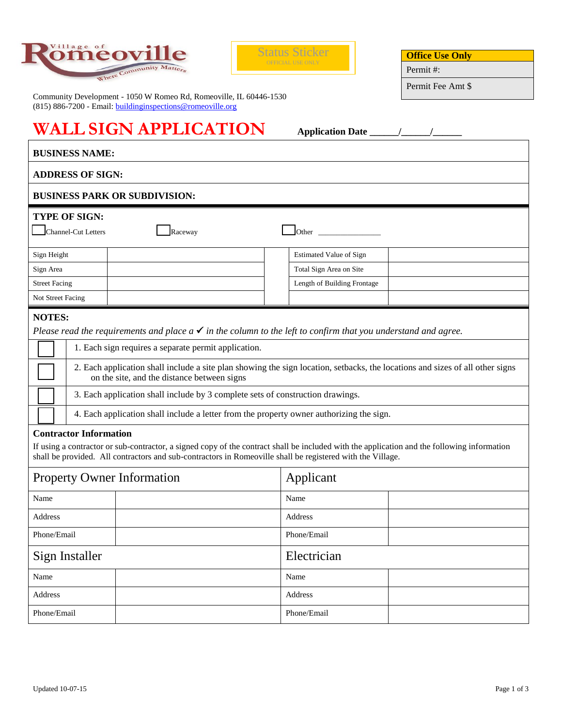



**Office Use Only**

Permit #:

Permit Fee Amt \$

 $\overline{1}$ 

Community Development - 1050 W Romeo Rd, Romeoville, IL 60446-1530 (815) 886-7200 - Email: **buildinginspections@romeoville.org** 

## **WALL SIGN APPLICATION Application Date \_\_\_\_\_\_/\_\_\_\_\_\_/\_\_\_\_\_\_**

| <b>BUSINESS NAME:</b>                                                                                                                                                                                                                                                                         |                                                                                                                                                                                                                                                           |                                |  |  |  |  |
|-----------------------------------------------------------------------------------------------------------------------------------------------------------------------------------------------------------------------------------------------------------------------------------------------|-----------------------------------------------------------------------------------------------------------------------------------------------------------------------------------------------------------------------------------------------------------|--------------------------------|--|--|--|--|
| <b>ADDRESS OF SIGN:</b>                                                                                                                                                                                                                                                                       |                                                                                                                                                                                                                                                           |                                |  |  |  |  |
|                                                                                                                                                                                                                                                                                               | <b>BUSINESS PARK OR SUBDIVISION:</b>                                                                                                                                                                                                                      |                                |  |  |  |  |
| <b>TYPE OF SIGN:</b><br>Channel-Cut Letters<br>Raceway<br><b>Other</b> control of the control of the control of the control of the control of the control of the control of the control of the control of the control of the control of the control of the control of the control of the cont |                                                                                                                                                                                                                                                           |                                |  |  |  |  |
| Sign Height                                                                                                                                                                                                                                                                                   |                                                                                                                                                                                                                                                           | <b>Estimated Value of Sign</b> |  |  |  |  |
| Sign Area                                                                                                                                                                                                                                                                                     |                                                                                                                                                                                                                                                           | Total Sign Area on Site        |  |  |  |  |
| <b>Street Facing</b>                                                                                                                                                                                                                                                                          |                                                                                                                                                                                                                                                           | Length of Building Frontage    |  |  |  |  |
| Not Street Facing                                                                                                                                                                                                                                                                             |                                                                                                                                                                                                                                                           |                                |  |  |  |  |
| <b>NOTES:</b><br>Please read the requirements and place $a \checkmark$ in the column to the left to confirm that you understand and agree.                                                                                                                                                    |                                                                                                                                                                                                                                                           |                                |  |  |  |  |
|                                                                                                                                                                                                                                                                                               | 1. Each sign requires a separate permit application.                                                                                                                                                                                                      |                                |  |  |  |  |
|                                                                                                                                                                                                                                                                                               | 2. Each application shall include a site plan showing the sign location, setbacks, the locations and sizes of all other signs<br>on the site, and the distance between signs                                                                              |                                |  |  |  |  |
|                                                                                                                                                                                                                                                                                               | 3. Each application shall include by 3 complete sets of construction drawings.                                                                                                                                                                            |                                |  |  |  |  |
|                                                                                                                                                                                                                                                                                               | 4. Each application shall include a letter from the property owner authorizing the sign.                                                                                                                                                                  |                                |  |  |  |  |
| <b>Contractor Information</b>                                                                                                                                                                                                                                                                 | If using a contractor or sub-contractor, a signed copy of the contract shall be included with the application and the following information<br>shall be provided. All contractors and sub-contractors in Romeoville shall be registered with the Village. |                                |  |  |  |  |
| <b>Property Owner Information</b>                                                                                                                                                                                                                                                             |                                                                                                                                                                                                                                                           | Applicant                      |  |  |  |  |
| Name                                                                                                                                                                                                                                                                                          |                                                                                                                                                                                                                                                           | Name                           |  |  |  |  |
| Address                                                                                                                                                                                                                                                                                       |                                                                                                                                                                                                                                                           | Address                        |  |  |  |  |
| Phone/Email                                                                                                                                                                                                                                                                                   |                                                                                                                                                                                                                                                           | Phone/Email                    |  |  |  |  |
| Sign Installer                                                                                                                                                                                                                                                                                |                                                                                                                                                                                                                                                           | Electrician                    |  |  |  |  |
| Name                                                                                                                                                                                                                                                                                          |                                                                                                                                                                                                                                                           | Name                           |  |  |  |  |
| Address                                                                                                                                                                                                                                                                                       |                                                                                                                                                                                                                                                           | Address                        |  |  |  |  |
| Phone/Email                                                                                                                                                                                                                                                                                   |                                                                                                                                                                                                                                                           | Phone/Email                    |  |  |  |  |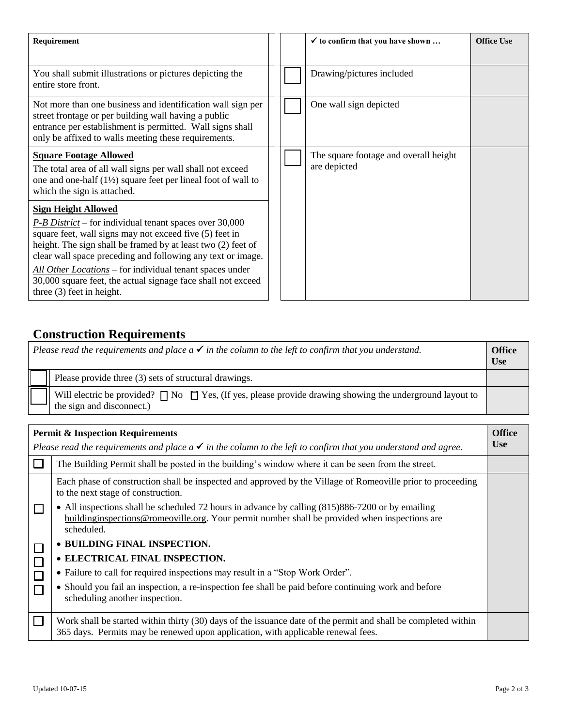| Requirement                                                                                                                                                                                                                                                                                                                                                                                                                                   |  | $\checkmark$ to confirm that you have shown           | Office Use |
|-----------------------------------------------------------------------------------------------------------------------------------------------------------------------------------------------------------------------------------------------------------------------------------------------------------------------------------------------------------------------------------------------------------------------------------------------|--|-------------------------------------------------------|------------|
| You shall submit illustrations or pictures depicting the<br>entire store front.                                                                                                                                                                                                                                                                                                                                                               |  | Drawing/pictures included                             |            |
| Not more than one business and identification wall sign per<br>street frontage or per building wall having a public<br>entrance per establishment is permitted. Wall signs shall<br>only be affixed to walls meeting these requirements.                                                                                                                                                                                                      |  | One wall sign depicted                                |            |
| <b>Square Footage Allowed</b><br>The total area of all wall signs per wall shall not exceed<br>one and one-half $(1\frac{1}{2})$ square feet per lineal foot of wall to<br>which the sign is attached.                                                                                                                                                                                                                                        |  | The square footage and overall height<br>are depicted |            |
| <b>Sign Height Allowed</b><br>$P$ -B District – for individual tenant spaces over 30,000<br>square feet, wall signs may not exceed five (5) feet in<br>height. The sign shall be framed by at least two (2) feet of<br>clear wall space preceding and following any text or image.<br>All Other Locations – for individual tenant spaces under<br>30,000 square feet, the actual signage face shall not exceed<br>three $(3)$ feet in height. |  |                                                       |            |

## **Construction Requirements**

| Please read the requirements and place $a \checkmark$ in the column to the left to confirm that you understand. |                                                                                                                                                 |  |
|-----------------------------------------------------------------------------------------------------------------|-------------------------------------------------------------------------------------------------------------------------------------------------|--|
|                                                                                                                 | Please provide three (3) sets of structural drawings.                                                                                           |  |
|                                                                                                                 | Will electric be provided? $\Box$ No $\Box$ Yes, (If yes, please provide drawing showing the underground layout to<br>the sign and disconnect.) |  |

| <b>Permit &amp; Inspection Requirements</b>                                                                                             |                                                                                                                                                                                                                    |  |  |
|-----------------------------------------------------------------------------------------------------------------------------------------|--------------------------------------------------------------------------------------------------------------------------------------------------------------------------------------------------------------------|--|--|
| <b>Use</b><br>Please read the requirements and place $a \checkmark$ in the column to the left to confirm that you understand and agree. |                                                                                                                                                                                                                    |  |  |
|                                                                                                                                         | The Building Permit shall be posted in the building's window where it can be seen from the street.                                                                                                                 |  |  |
|                                                                                                                                         | Each phase of construction shall be inspected and approved by the Village of Romeoville prior to proceeding<br>to the next stage of construction.                                                                  |  |  |
|                                                                                                                                         | • All inspections shall be scheduled 72 hours in advance by calling (815)886-7200 or by emailing<br>building inspections @ romeoville.org. Your permit number shall be provided when inspections are<br>scheduled. |  |  |
|                                                                                                                                         | • BUILDING FINAL INSPECTION.                                                                                                                                                                                       |  |  |
|                                                                                                                                         | • ELECTRICAL FINAL INSPECTION.                                                                                                                                                                                     |  |  |
|                                                                                                                                         | • Failure to call for required inspections may result in a "Stop Work Order".                                                                                                                                      |  |  |
|                                                                                                                                         | • Should you fail an inspection, a re-inspection fee shall be paid before continuing work and before<br>scheduling another inspection.                                                                             |  |  |
|                                                                                                                                         | Work shall be started within thirty (30) days of the issuance date of the permit and shall be completed within<br>365 days. Permits may be renewed upon application, with applicable renewal fees.                 |  |  |